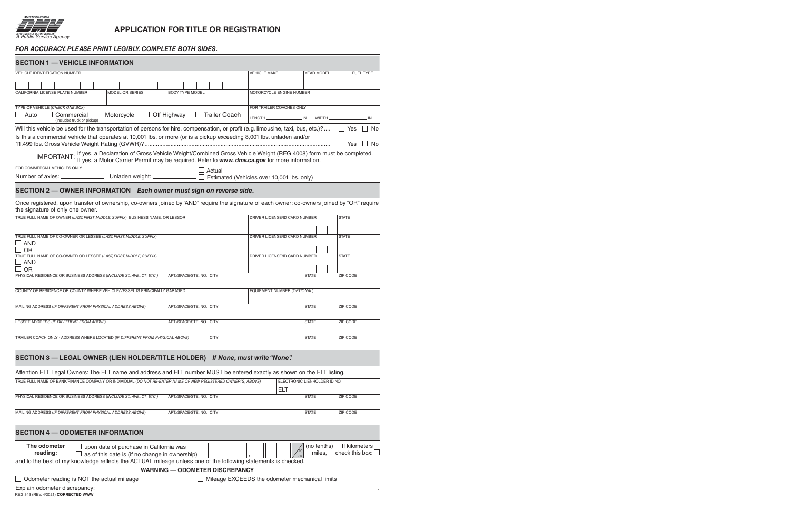

 $\equiv$ 

## **APPLICATION FOR TITLE OR REGISTRATION**

## *For accuracy, please print legibly. complete both sides.*

| <b>SECTION 1 - VEHICLE INFORMATION</b>                                                                                                                                                                                            |                                                       |
|-----------------------------------------------------------------------------------------------------------------------------------------------------------------------------------------------------------------------------------|-------------------------------------------------------|
| <b>VEHICLE IDENTIFICATION NUMBER</b>                                                                                                                                                                                              | <b>VEHICLE MAKE</b><br>YEAR MODEL<br><b>FUEL TYPE</b> |
|                                                                                                                                                                                                                                   |                                                       |
| CALIFORNIA LICENSE PLATE NUMBER<br>MODEL OR SERIES<br><b>BODY TYPE MODEL</b>                                                                                                                                                      | MOTORCYCLE ENGINE NUMBER                              |
|                                                                                                                                                                                                                                   |                                                       |
| TYPE OF VEHICLE (CHECK ONE BOX)                                                                                                                                                                                                   | FOR TRAILER COACHES ONLY                              |
| $\Box$ Off Highway<br><b>Trailer Coach</b><br>$\Box$ Motorcycle<br>Commercial<br>$\Box$ Auto                                                                                                                                      |                                                       |
| (includes truck or pickup)                                                                                                                                                                                                        | . IN.                                                 |
| Will this vehicle be used for the transportation of persons for hire, compensation, or profit (e.g. limousine, taxi, bus, etc.)?                                                                                                  | ∣∣ Yes<br>∣ I No                                      |
| Is this a commercial vehicle that operates at 10,001 lbs. or more (or is a pickup exceeding 8,001 lbs. unladen and/or                                                                                                             |                                                       |
|                                                                                                                                                                                                                                   | $\Box$ Yes<br>l No                                    |
| IMPORTANT: If yes, a Declaration of Gross Vehicle Weight/Combined Gross Vehicle Weight (REG 4008) form must be completed.<br>IMPORTANT: If yes, a Motor Carrier Permit may be required. Refer to www. dmv.ca.gov for more informa |                                                       |
|                                                                                                                                                                                                                                   |                                                       |
| FOR COMMERCIAL VEHICLES ONLY<br>Actual                                                                                                                                                                                            |                                                       |
| Number of axles: ________________________ Unladen weight: ________________ □ Estimated (Vehicles over 10,001 lbs. only)                                                                                                           |                                                       |
|                                                                                                                                                                                                                                   |                                                       |
| SECTION 2 - OWNER INFORMATION Each owner must sign on reverse side.                                                                                                                                                               |                                                       |
| Once registered, upon transfer of ownership, co-owners joined by "AND" require the signature of each owner; co-owners joined by "OR" require                                                                                      |                                                       |
| the signature of only one owner.                                                                                                                                                                                                  |                                                       |
| TRUE FULL NAME OF OWNER (LAST, FIRST MIDDLE, SUFFIX), BUSINESS NAME, OR LESSOR                                                                                                                                                    | DRIVER LICENSE/ID CARD NUMBER<br><b>STATE</b>         |
|                                                                                                                                                                                                                                   |                                                       |
| TRUE FULL NAME OF CO-OWNER OR LESSEE (LAST, FIRST, MIDDLE, SUFFIX)                                                                                                                                                                | DRIVER LICENSE/ID CARD NUMBER<br><b>STATE</b>         |
| $\Box$ and                                                                                                                                                                                                                        |                                                       |
| OR                                                                                                                                                                                                                                |                                                       |
| TRUE FULL NAME OF CO-OWNER OR LESSEE (LAST, FIRST, MIDDLE, SUFFIX)                                                                                                                                                                | DRIVER LICENSE/ID CARD NUMBER<br><b>STATE</b>         |
| $\sqcup$ and<br>OR                                                                                                                                                                                                                |                                                       |
| PHYSICAL RESIDENCE OR BUSINESS ADDRESS (INCLUDE ST., AVE., CT., ETC.)<br>APT./SPACE/STE. NO. CITY                                                                                                                                 | ZIP CODE<br><b>STATE</b>                              |
|                                                                                                                                                                                                                                   |                                                       |
| COUNTY OF RESIDENCE OR COUNTY WHERE VEHICLE/VESSEL IS PRINCIPALLY GARAGED                                                                                                                                                         | EQUIPMENT NUMBER (OPTIONAL)                           |
|                                                                                                                                                                                                                                   |                                                       |
| MAILING ADDRESS (IF DIFFERENT FROM PHYSICAL ADDRESS ABOVE)<br>APT./SPACE/STE. NO. CITY                                                                                                                                            | ZIP CODE<br><b>STATE</b>                              |
|                                                                                                                                                                                                                                   |                                                       |
| LESSEE ADDRESS (IF DIFFERENT FROM ABOVE)<br>APT./SPACE/STE. NO. CITY                                                                                                                                                              | ZIP CODE<br><b>STATE</b>                              |
|                                                                                                                                                                                                                                   |                                                       |
| TRAILER COACH ONLY - ADDRESS WHERE LOCATED (IF DIFFERENT FROM PHYSICAL ABOVE)<br><b>CITY</b>                                                                                                                                      | <b>STATE</b><br>ZIP CODE                              |
|                                                                                                                                                                                                                                   |                                                       |
|                                                                                                                                                                                                                                   |                                                       |
| SECTION 3 - LEGAL OWNER (LIEN HOLDER/TITLE HOLDER) If None, must write "None".                                                                                                                                                    |                                                       |
| Attention ELT Legal Owners: The ELT name and address and ELT number MUST be entered exactly as shown on the ELT listing.                                                                                                          |                                                       |
| TRUE FULL NAME OF BANK/FINANCE COMPANY OR INDIVIDUAL (DO NOT RE-ENTER NAME OF NEW REGISTERED OWNER(S) ABOVE)                                                                                                                      | ELECTRONIC LIENHOLDER ID NO.                          |
|                                                                                                                                                                                                                                   | ELT                                                   |
| PHYSICAL RESIDENCE OR BUSINESS ADDRESS (INCLUDE ST., AVE., CT., ETC.)<br>APT./SPACE/STE. NO. CITY                                                                                                                                 | ZIP CODE<br><b>STATE</b>                              |
|                                                                                                                                                                                                                                   |                                                       |
| MAILING ADDRESS (IF DIFFERENT FROM PHYSICAL ADDRESS ABOVE)<br>APT./SPACE/STE. NO. CITY                                                                                                                                            | ZIP CODE<br><b>STATE</b>                              |
|                                                                                                                                                                                                                                   |                                                       |
|                                                                                                                                                                                                                                   |                                                       |
| <b>SECTION 4 - ODOMETER INFORMATION</b>                                                                                                                                                                                           |                                                       |
| The odometer                                                                                                                                                                                                                      | If kilometers                                         |
| upon date of purchase in California was<br>reading:                                                                                                                                                                               | (no tenths)<br>check this box:<br>miles,              |
| as of this date is (if no change in ownership)<br>and to the best of my knowledge reflects the ACTUAL mileage unless one of the following statements is checked.                                                                  |                                                       |
|                                                                                                                                                                                                                                   |                                                       |
| <b>WARNING - ODOMETER DISCREPANCY</b>                                                                                                                                                                                             |                                                       |
| $\Box$ Odometer reading is NOT the actual mileage                                                                                                                                                                                 | Mileage EXCEEDS the odometer mechanical limits        |
| Explain odometer discrepancy:                                                                                                                                                                                                     |                                                       |
| REG 343 (REV. 4/2021) CORRECTED WWW                                                                                                                                                                                               |                                                       |